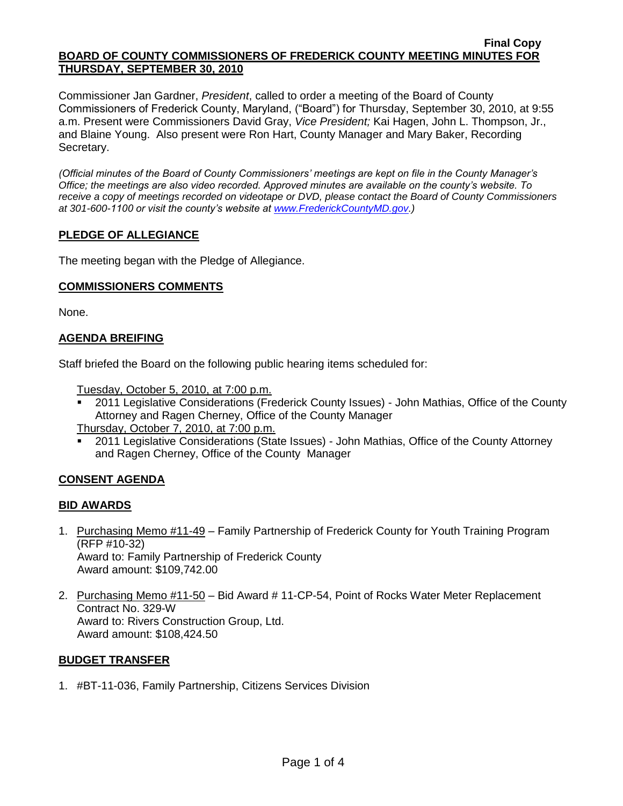#### **Final Copy BOARD OF COUNTY COMMISSIONERS OF FREDERICK COUNTY MEETING MINUTES FOR THURSDAY, SEPTEMBER 30, 2010**

Commissioner Jan Gardner, *President*, called to order a meeting of the Board of County Commissioners of Frederick County, Maryland, ("Board") for Thursday, September 30, 2010, at 9:55 a.m. Present were Commissioners David Gray, *Vice President;* Kai Hagen, John L. Thompson, Jr., and Blaine Young. Also present were Ron Hart, County Manager and Mary Baker, Recording Secretary.

*(Official minutes of the Board of County Commissioners' meetings are kept on file in the County Manager's Office; the meetings are also video recorded. Approved minutes are available on the county's website. To receive a copy of meetings recorded on videotape or DVD, please contact the Board of County Commissioners at 301-600-1100 or visit the county's website at [www.FrederickCountyMD.gov.](http://www.frederickcountymd.gov/))*

# **PLEDGE OF ALLEGIANCE**

The meeting began with the Pledge of Allegiance.

### **COMMISSIONERS COMMENTS**

None.

# **AGENDA BREIFING**

Staff briefed the Board on the following public hearing items scheduled for:

Tuesday, October 5, 2010, at 7:00 p.m.

<sup>2011</sup> Legislative Considerations (Frederick County Issues) - John Mathias, Office of the County Attorney and Ragen Cherney, Office of the County Manager

Thursday, October 7, 2010, at 7:00 p.m.

 2011 Legislative Considerations (State Issues) - John Mathias, Office of the County Attorney and Ragen Cherney, Office of the County Manager

# **CONSENT AGENDA**

# **BID AWARDS**

- 1. Purchasing Memo #11-49 Family Partnership of Frederick County for Youth Training Program (RFP #10-32) Award to: Family Partnership of Frederick County Award amount: \$109,742.00
- 2. Purchasing Memo #11-50 Bid Award # 11-CP-54, Point of Rocks Water Meter Replacement Contract No. 329-W Award to: Rivers Construction Group, Ltd. Award amount: \$108,424.50

# **BUDGET TRANSFER**

1. #BT-11-036, Family Partnership, Citizens Services Division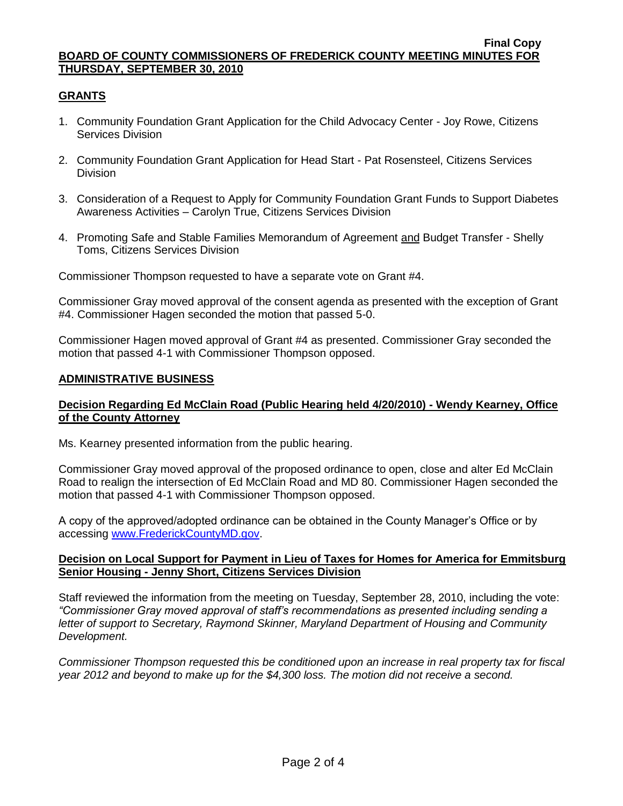#### **Final Copy BOARD OF COUNTY COMMISSIONERS OF FREDERICK COUNTY MEETING MINUTES FOR THURSDAY, SEPTEMBER 30, 2010**

# **GRANTS**

- 1. Community Foundation Grant Application for the Child Advocacy Center Joy Rowe, Citizens Services Division
- 2. Community Foundation Grant Application for Head Start Pat Rosensteel, Citizens Services Division
- 3. Consideration of a Request to Apply for Community Foundation Grant Funds to Support Diabetes Awareness Activities – Carolyn True, Citizens Services Division
- 4. Promoting Safe and Stable Families Memorandum of Agreement and Budget Transfer Shelly Toms, Citizens Services Division

Commissioner Thompson requested to have a separate vote on Grant #4.

Commissioner Gray moved approval of the consent agenda as presented with the exception of Grant #4. Commissioner Hagen seconded the motion that passed 5-0.

Commissioner Hagen moved approval of Grant #4 as presented. Commissioner Gray seconded the motion that passed 4-1 with Commissioner Thompson opposed.

### **ADMINISTRATIVE BUSINESS**

# **Decision Regarding Ed McClain Road (Public Hearing held 4/20/2010) - Wendy Kearney, Office of the County Attorney**

Ms. Kearney presented information from the public hearing.

Commissioner Gray moved approval of the proposed ordinance to open, close and alter Ed McClain Road to realign the intersection of Ed McClain Road and MD 80. Commissioner Hagen seconded the motion that passed 4-1 with Commissioner Thompson opposed.

A copy of the approved/adopted ordinance can be obtained in the County Manager's Office or by accessing [www.FrederickCountyMD.gov.](file://NT1S5/BOCC/BOCC/BOCC%20Minutes/Mary)

### **Decision on Local Support for Payment in Lieu of Taxes for Homes for America for Emmitsburg Senior Housing - Jenny Short, Citizens Services Division**

Staff reviewed the information from the meeting on Tuesday, September 28, 2010, including the vote: *"Commissioner Gray moved approval of staff's recommendations as presented including sending a letter of support to Secretary, Raymond Skinner, Maryland Department of Housing and Community Development.* 

*Commissioner Thompson requested this be conditioned upon an increase in real property tax for fiscal year 2012 and beyond to make up for the \$4,300 loss. The motion did not receive a second.*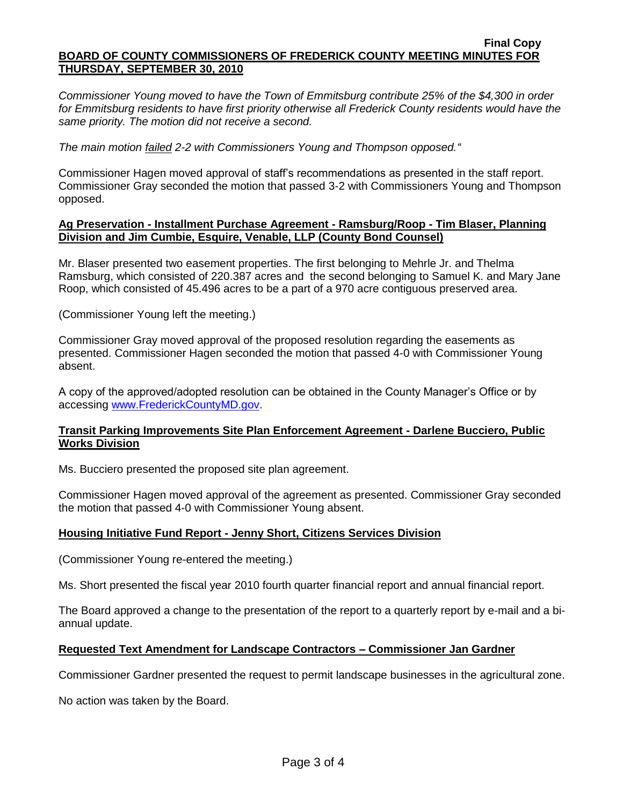#### **Final Copy BOARD OF COUNTY COMMISSIONERS OF FREDERICK COUNTY MEETING MINUTES FOR THURSDAY, SEPTEMBER 30, 2010**

*Commissioner Young moved to have the Town of Emmitsburg contribute 25% of the \$4,300 in order*  for Emmitsburg residents to have first priority otherwise all Frederick County residents would have the *same priority. The motion did not receive a second.* 

*The main motion failed 2-2 with Commissioners Young and Thompson opposed."*

Commissioner Hagen moved approval of staff's recommendations as presented in the staff report. Commissioner Gray seconded the motion that passed 3-2 with Commissioners Young and Thompson opposed.

### **Ag Preservation - Installment Purchase Agreement - Ramsburg/Roop - Tim Blaser, Planning Division and Jim Cumbie, Esquire, Venable, LLP (County Bond Counsel)**

Mr. Blaser presented two easement properties. The first belonging to Mehrle Jr. and Thelma Ramsburg, which consisted of 220.387 acres and the second belonging to Samuel K. and Mary Jane Roop, which consisted of 45.496 acres to be a part of a 970 acre contiguous preserved area.

(Commissioner Young left the meeting.)

Commissioner Gray moved approval of the proposed resolution regarding the easements as presented. Commissioner Hagen seconded the motion that passed 4-0 with Commissioner Young absent.

A copy of the approved/adopted resolution can be obtained in the County Manager's Office or by accessing [www.FrederickCountyMD.gov.](file://NT1S5/BOCC/BOCC/BOCC%20Minutes/Mary)

### **Transit Parking Improvements Site Plan Enforcement Agreement - Darlene Bucciero, Public Works Division**

Ms. Bucciero presented the proposed site plan agreement.

Commissioner Hagen moved approval of the agreement as presented. Commissioner Gray seconded the motion that passed 4-0 with Commissioner Young absent.

# **Housing Initiative Fund Report - Jenny Short, Citizens Services Division**

(Commissioner Young re-entered the meeting.)

Ms. Short presented the fiscal year 2010 fourth quarter financial report and annual financial report.

The Board approved a change to the presentation of the report to a quarterly report by e-mail and a biannual update.

### **Requested Text Amendment for Landscape Contractors – Commissioner Jan Gardner**

Commissioner Gardner presented the request to permit landscape businesses in the agricultural zone.

No action was taken by the Board.